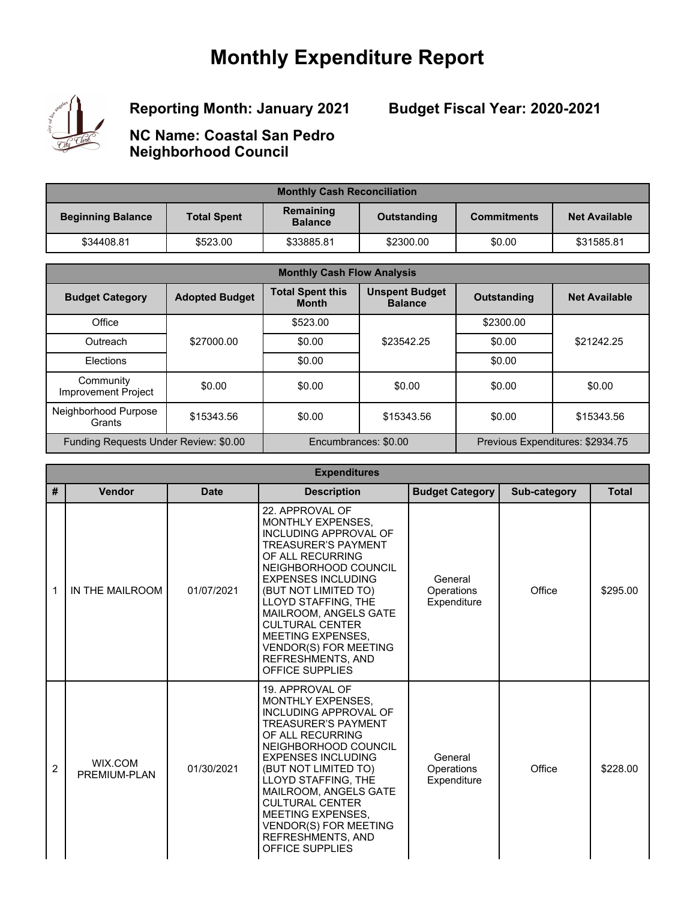# **Monthly Expenditure Report**



**Reporting Month: January 2021**

**Budget Fiscal Year: 2020-2021**

**NC Name: Coastal San Pedro Neighborhood Council**

| <b>Monthly Cash Reconciliation</b> |                    |                             |             |                    |                      |
|------------------------------------|--------------------|-----------------------------|-------------|--------------------|----------------------|
| <b>Beginning Balance</b>           | <b>Total Spent</b> | Remaining<br><b>Balance</b> | Outstanding | <b>Commitments</b> | <b>Net Available</b> |
| \$34408.81                         | \$523.00           | \$33885.81                  | \$2300.00   | \$0.00             | \$31585.81           |

| <b>Monthly Cash Flow Analysis</b>       |                       |                                         |                                         |                                  |                      |
|-----------------------------------------|-----------------------|-----------------------------------------|-----------------------------------------|----------------------------------|----------------------|
| <b>Budget Category</b>                  | <b>Adopted Budget</b> | <b>Total Spent this</b><br><b>Month</b> | <b>Unspent Budget</b><br><b>Balance</b> | <b>Outstanding</b>               | <b>Net Available</b> |
| Office                                  |                       | \$523.00                                |                                         | \$2300.00                        |                      |
| Outreach                                | \$27000.00            | \$0.00                                  | \$23542.25                              | \$0.00                           | \$21242.25           |
| <b>Flections</b>                        |                       | \$0.00                                  |                                         | \$0.00                           |                      |
| Community<br><b>Improvement Project</b> | \$0.00                | \$0.00                                  | \$0.00                                  | \$0.00                           | \$0.00               |
| Neighborhood Purpose<br>Grants          | \$15343.56            | \$0.00                                  | \$15343.56                              | \$0.00                           | \$15343.56           |
| Funding Requests Under Review: \$0.00   |                       | Encumbrances: \$0.00                    |                                         | Previous Expenditures: \$2934.75 |                      |

|   | <b>Expenditures</b>     |             |                                                                                                                                                                                                                                                                                                                                                                                   |                                      |              |              |  |
|---|-------------------------|-------------|-----------------------------------------------------------------------------------------------------------------------------------------------------------------------------------------------------------------------------------------------------------------------------------------------------------------------------------------------------------------------------------|--------------------------------------|--------------|--------------|--|
| # | Vendor                  | <b>Date</b> | <b>Description</b>                                                                                                                                                                                                                                                                                                                                                                | <b>Budget Category</b>               | Sub-category | <b>Total</b> |  |
| 1 | IN THE MAILROOM         | 01/07/2021  | 22. APPROVAL OF<br><b>MONTHLY EXPENSES.</b><br>INCLUDING APPROVAL OF<br><b>TREASURER'S PAYMENT</b><br>OF ALL RECURRING<br>NEIGHBORHOOD COUNCIL<br><b>EXPENSES INCLUDING</b><br>(BUT NOT LIMITED TO)<br>LLOYD STAFFING, THE<br>MAILROOM, ANGELS GATE<br><b>CULTURAL CENTER</b><br>MEETING EXPENSES,<br><b>VENDOR(S) FOR MEETING</b><br>REFRESHMENTS, AND<br><b>OFFICE SUPPLIES</b> | General<br>Operations<br>Expenditure | Office       | \$295.00     |  |
| 2 | WIX.COM<br>PREMIUM-PLAN | 01/30/2021  | 19. APPROVAL OF<br>MONTHLY EXPENSES,<br>INCLUDING APPROVAL OF<br><b>TREASURER'S PAYMENT</b><br>OF ALL RECURRING<br>NEIGHBORHOOD COUNCIL<br><b>EXPENSES INCLUDING</b><br>(BUT NOT LIMITED TO)<br>LLOYD STAFFING, THE<br>MAILROOM, ANGELS GATE<br><b>CULTURAL CENTER</b><br><b>MEETING EXPENSES.</b><br><b>VENDOR(S) FOR MEETING</b><br>REFRESHMENTS, AND<br>OFFICE SUPPLIES        | General<br>Operations<br>Expenditure | Office       | \$228.00     |  |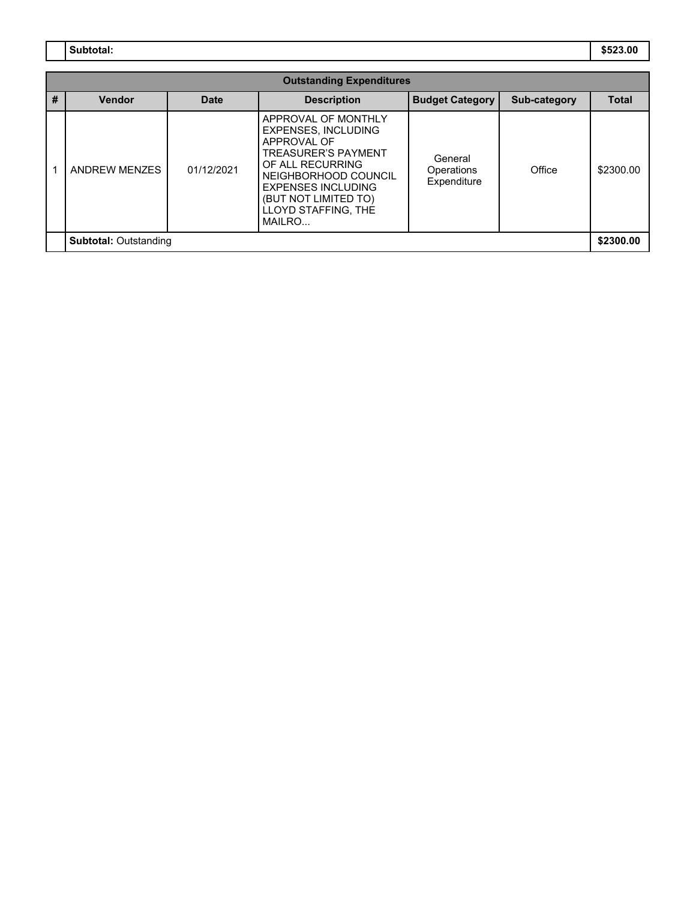**Subtotal: \$523.00**

| <b>Outstanding Expenditures</b> |               |             |                                                                                                                                                                                                                                  |                                      |              |              |
|---------------------------------|---------------|-------------|----------------------------------------------------------------------------------------------------------------------------------------------------------------------------------------------------------------------------------|--------------------------------------|--------------|--------------|
| #                               | <b>Vendor</b> | <b>Date</b> | <b>Description</b>                                                                                                                                                                                                               | <b>Budget Category</b>               | Sub-category | <b>Total</b> |
|                                 | ANDREW MENZES | 01/12/2021  | APPROVAL OF MONTHLY<br><b>EXPENSES, INCLUDING</b><br>APPROVAL OF<br><b>TREASURER'S PAYMENT</b><br>OF ALL RECURRING<br>NEIGHBORHOOD COUNCIL<br><b>EXPENSES INCLUDING</b><br>(BUT NOT LIMITED TO)<br>LLOYD STAFFING. THE<br>MAILRO | General<br>Operations<br>Expenditure | Office       | \$2300.00    |
| <b>Subtotal: Outstanding</b>    |               |             |                                                                                                                                                                                                                                  |                                      | \$2300.00    |              |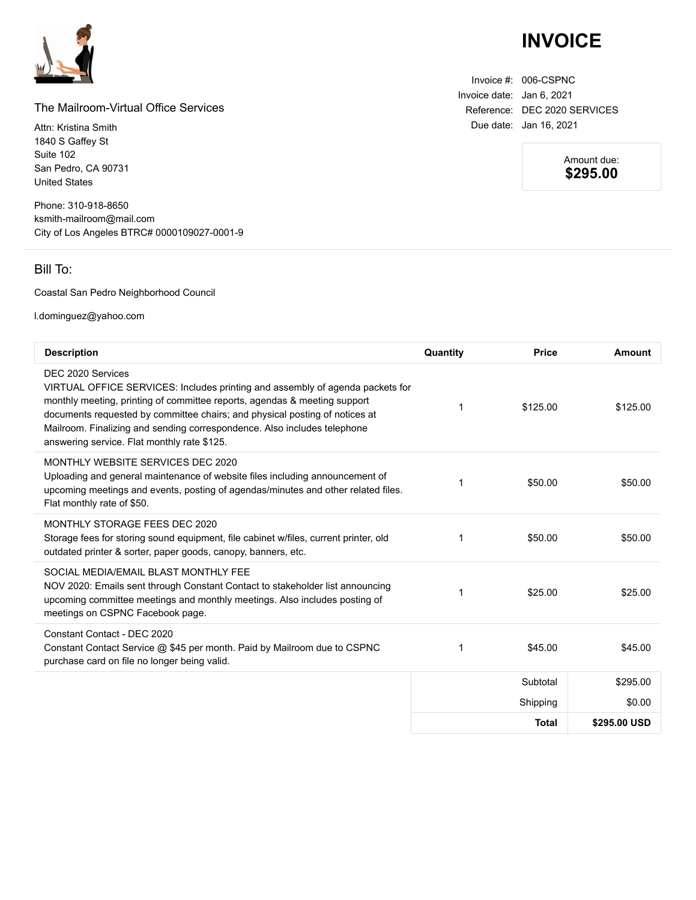

#### The Mailroom-Virtual Office Services

Attn: Kristina Smith 1840 S Gaffey St Suite 102 San Pedro, CA 90731 United States

Phone: 310-918-8650 ksmith-mailroom@mail.com City of Los Angeles BTRC# 0000109027-0001-9

### Bill To:

#### Coastal San Pedro Neighborhood Council

l.dominguez@yahoo.com

| <b>Description</b>                                                                                                                                                                                                                                                                                                                                                                        | Quantity | <b>Price</b> | Amount       |
|-------------------------------------------------------------------------------------------------------------------------------------------------------------------------------------------------------------------------------------------------------------------------------------------------------------------------------------------------------------------------------------------|----------|--------------|--------------|
| DEC 2020 Services<br>VIRTUAL OFFICE SERVICES: Includes printing and assembly of agenda packets for<br>monthly meeting, printing of committee reports, agendas & meeting support<br>documents requested by committee chairs; and physical posting of notices at<br>Mailroom. Finalizing and sending correspondence. Also includes telephone<br>answering service. Flat monthly rate \$125. | 1        | \$125.00     | \$125.00     |
| MONTHLY WEBSITE SERVICES DEC 2020<br>Uploading and general maintenance of website files including announcement of<br>upcoming meetings and events, posting of agendas/minutes and other related files.<br>Flat monthly rate of \$50.                                                                                                                                                      | 1        | \$50.00      | \$50.00      |
| MONTHLY STORAGE FEES DEC 2020<br>Storage fees for storing sound equipment, file cabinet w/files, current printer, old<br>outdated printer & sorter, paper goods, canopy, banners, etc.                                                                                                                                                                                                    | 1        | \$50.00      | \$50.00      |
| SOCIAL MEDIA/FMAIL BLAST MONTHLY FFF<br>NOV 2020: Emails sent through Constant Contact to stakeholder list announcing<br>upcoming committee meetings and monthly meetings. Also includes posting of<br>meetings on CSPNC Facebook page.                                                                                                                                                   | 1        | \$25.00      | \$25.00      |
| Constant Contact - DEC 2020<br>Constant Contact Service @ \$45 per month. Paid by Mailroom due to CSPNC<br>purchase card on file no longer being valid.                                                                                                                                                                                                                                   | 1        | \$45.00      | \$45.00      |
|                                                                                                                                                                                                                                                                                                                                                                                           |          | Subtotal     | \$295.00     |
|                                                                                                                                                                                                                                                                                                                                                                                           |          | Shipping     | \$0.00       |
|                                                                                                                                                                                                                                                                                                                                                                                           |          | <b>Total</b> | \$295.00 USD |

## **INVOICE**

Invoice #: 006-CSPNC Invoice date: Jan 6, 2021 Reference: DEC 2020 SERVICES Due date: Jan 16, 2021

> Amount due: **\$295.00**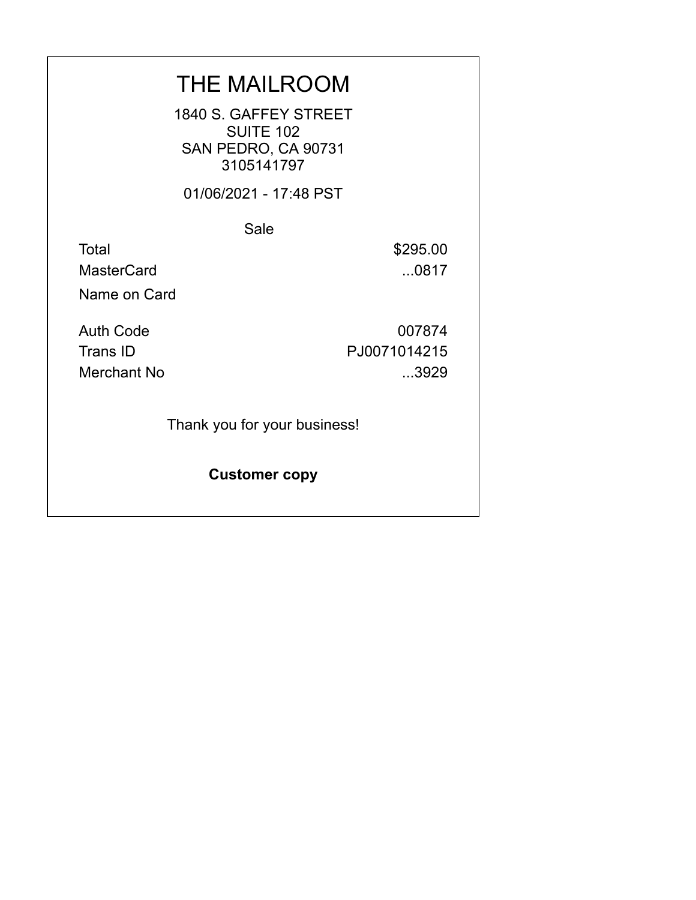## THE MAILROOM

1840 S. GAFFEY STREET **SUITE 102** SAN PEDRO, CA 90731 3105141797

01/06/2021 - 17:48 PST

Sale

Total \$295.00 MasterCard ...0817

Name on Card

Auth Code 007874 Trans ID PJ0071014215 Merchant No ...3929

Thank you for your business!

**Customer copy**